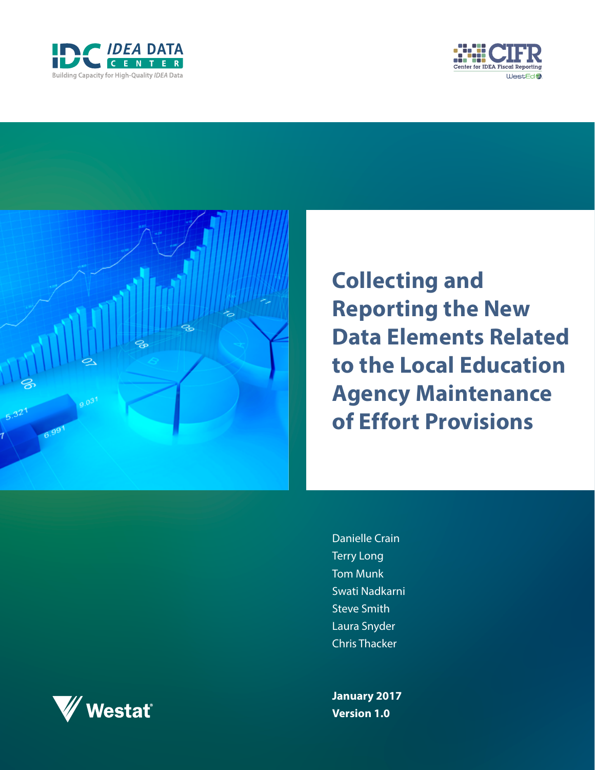





**Collecting and Reporting the New Data Elements Related to the Local Education Agency Maintenance of Effort Provisions**

Danielle Crain Terry Long Tom Munk Swati Nadkarni **Steve Smith** Laura Snyder Chris Thacker

**January 2017 Version 1.0**

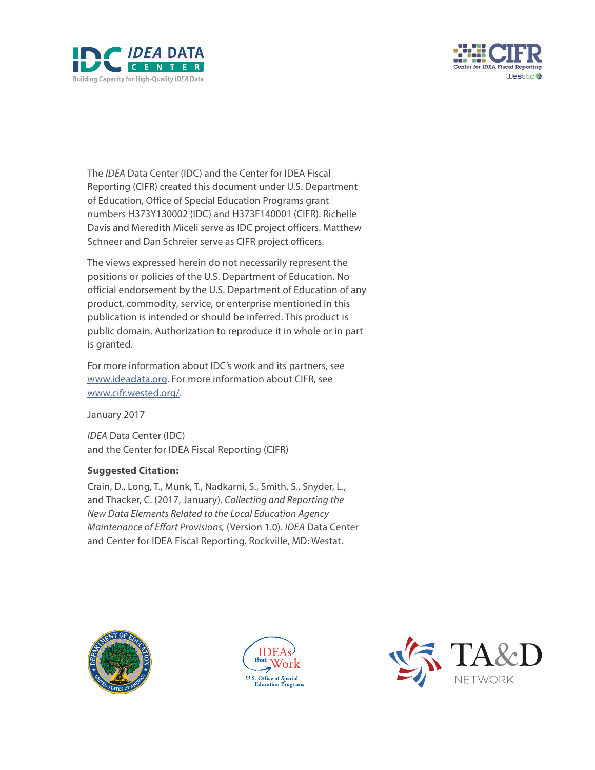



The *IDEA* Data Center (IDC) and the Center for IDEA Fiscal Reporting (CIFR) created this document under U.S. Department of Education, Office of Special Education Programs grant numbers H373Y130002 (IDC) and H373F140001 (CIFR). Richelle Davis and Meredith Miceli serve as IDC project officers. Matthew Schneer and Dan Schreier serve as CIFR project officers.

The views expressed herein do not necessarily represent the positions or policies of the U.S. Department of Education. No official endorsement by the U.S. Department of Education of any product, commodity, service, or enterprise mentioned in this publication is intended or should be inferred. This product is public domain. Authorization to reproduce it in whole or in part is granted.

For more information about IDC's work and its partners, see [www.ideadata.org](http://www.ideadata.org). For more information about CIFR, see [www.cifr.wested.org/.](http://www.cifr.wested.org/)

January 2017

*IDEA* Data Center (IDC) and the Center for IDEA Fiscal Reporting (CIFR)

#### **Suggested Citation:**

Crain, D., Long, T., Munk, T., Nadkarni, S., Smith, S., Snyder, L., and Thacker, C. (2017, January). *Collecting and Reporting the New Data Elements Related to the Local Education Agency Maintenance of Effort Provisions,* (Version 1.0). *IDEA* Data Center and Center for IDEA Fiscal Reporting. Rockville, MD: Westat.





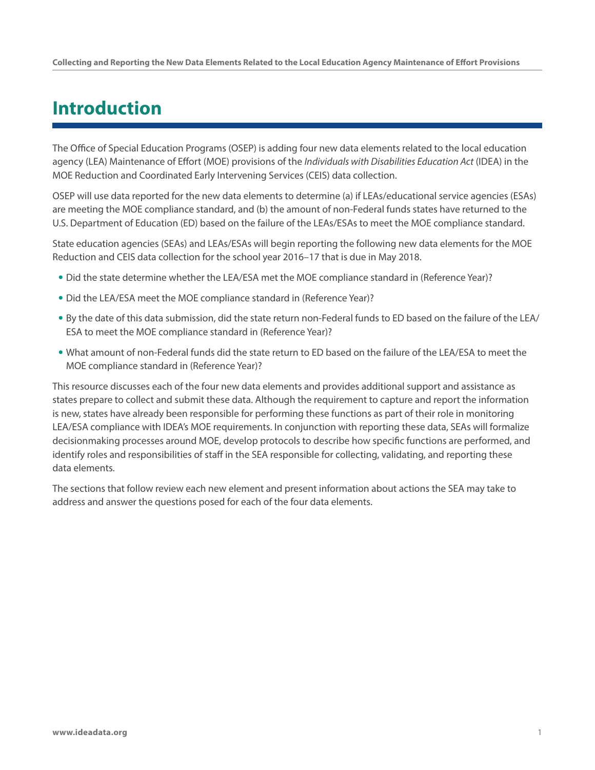### **Introduction**

The Office of Special Education Programs (OSEP) is adding four new data elements related to the local education agency (LEA) Maintenance of Effort (MOE) provisions of the *Individuals with Disabilities Education Act* (IDEA) in the MOE Reduction and Coordinated Early Intervening Services (CEIS) data collection.

OSEP will use data reported for the new data elements to determine (a) if LEAs/educational service agencies (ESAs) are meeting the MOE compliance standard, and (b) the amount of non-Federal funds states have returned to the U.S. Department of Education (ED) based on the failure of the LEAs/ESAs to meet the MOE compliance standard.

State education agencies (SEAs) and LEAs/ESAs will begin reporting the following new data elements for the MOE Reduction and CEIS data collection for the school year 2016–17 that is due in May 2018.

- Did the state determine whether the LEA/ESA met the MOE compliance standard in (Reference Year)?
- Did the LEA/ESA meet the MOE compliance standard in (Reference Year)?
- By the date of this data submission, did the state return non-Federal funds to ED based on the failure of the LEA/ ESA to meet the MOE compliance standard in (Reference Year)?
- What amount of non-Federal funds did the state return to ED based on the failure of the LEA/ESA to meet the MOE compliance standard in (Reference Year)?

This resource discusses each of the four new data elements and provides additional support and assistance as states prepare to collect and submit these data. Although the requirement to capture and report the information is new, states have already been responsible for performing these functions as part of their role in monitoring LEA/ESA compliance with IDEA's MOE requirements. In conjunction with reporting these data, SEAs will formalize decisionmaking processes around MOE, develop protocols to describe how specific functions are performed, and identify roles and responsibilities of staff in the SEA responsible for collecting, validating, and reporting these data elements.

The sections that follow review each new element and present information about actions the SEA may take to address and answer the questions posed for each of the four data elements.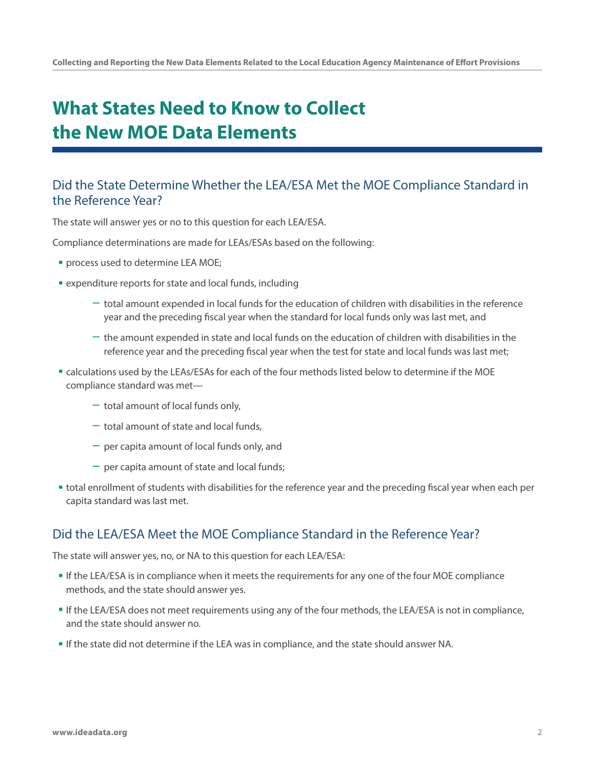# **What States Need to Know to Collect the New MOE Data Elements**

#### Did the State Determine Whether the LEA/ESA Met the MOE Compliance Standard in the Reference Year?

The state will answer yes or no to this question for each LEA/ESA.

Compliance determinations are made for LEAs/ESAs based on the following:

- process used to determine LEA MOE;
- expenditure reports for state and local funds, including
	- total amount expended in local funds for the education of children with disabilities in the reference year and the preceding fiscal year when the standard for local funds only was last met, and
	- the amount expended in state and local funds on the education of children with disabilities in the reference year and the preceding fiscal year when the test for state and local funds was last met;
- calculations used by the LEAs/ESAs for each of the four methods listed below to determine if the MOE compliance standard was met—
	- total amount of local funds only,
	- $-$  total amount of state and local funds.
	- per capita amount of local funds only, and
	- $-$  per capita amount of state and local funds;
- total enrollment of students with disabilities for the reference year and the preceding fiscal year when each per capita standard was last met.

#### Did the LEA/ESA Meet the MOE Compliance Standard in the Reference Year?

The state will answer yes, no, or NA to this question for each LEA/ESA:

- If the LEA/ESA is in compliance when it meets the requirements for any one of the four MOE compliance methods, and the state should answer yes.
- If the LEA/ESA does not meet requirements using any of the four methods, the LEA/ESA is not in compliance, and the state should answer no.
- If the state did not determine if the LEA was in compliance, and the state should answer NA.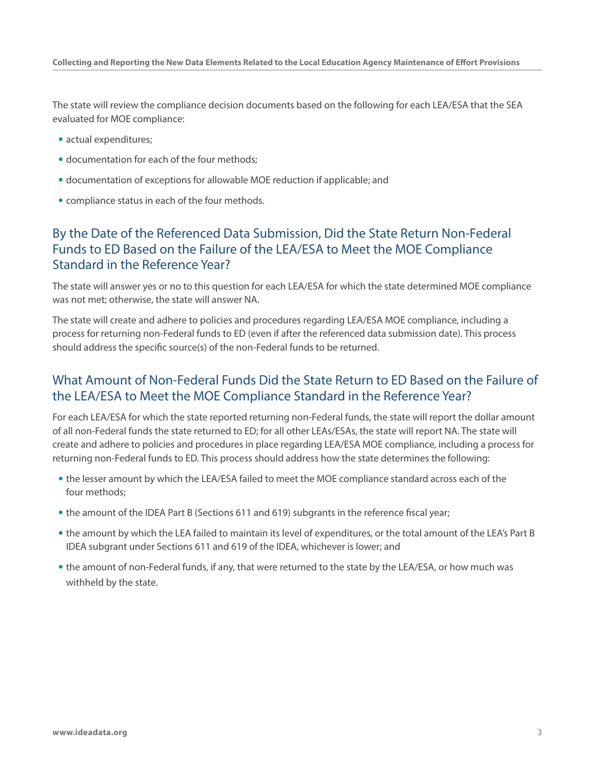The state will review the compliance decision documents based on the following for each LEA/ESA that the SEA evaluated for MOE compliance:

- actual expenditures;
- documentation for each of the four methods;
- documentation of exceptions for allowable MOE reduction if applicable; and
- compliance status in each of the four methods.

#### By the Date of the Referenced Data Submission, Did the State Return Non-Federal Funds to ED Based on the Failure of the LEA/ESA to Meet the MOE Compliance Standard in the Reference Year?

The state will answer yes or no to this question for each LEA/ESA for which the state determined MOE compliance was not met; otherwise, the state will answer NA.

The state will create and adhere to policies and procedures regarding LEA/ESA MOE compliance, including a process for returning non-Federal funds to ED (even if after the referenced data submission date). This process should address the specific source(s) of the non-Federal funds to be returned.

#### What Amount of Non-Federal Funds Did the State Return to ED Based on the Failure of the LEA/ESA to Meet the MOE Compliance Standard in the Reference Year?

For each LEA/ESA for which the state reported returning non-Federal funds, the state will report the dollar amount of all non-Federal funds the state returned to ED; for all other LEAs/ESAs, the state will report NA. The state will create and adhere to policies and procedures in place regarding LEA/ESA MOE compliance, including a process for returning non-Federal funds to ED. This process should address how the state determines the following:

- the lesser amount by which the LEA/ESA failed to meet the MOE compliance standard across each of the four methods;
- the amount of the IDEA Part B (Sections 611 and 619) subgrants in the reference fiscal year;
- the amount by which the LEA failed to maintain its level of expenditures, or the total amount of the LEA's Part B IDEA subgrant under Sections 611 and 619 of the IDEA, whichever is lower; and
- the amount of non-Federal funds, if any, that were returned to the state by the LEA/ESA, or how much was withheld by the state.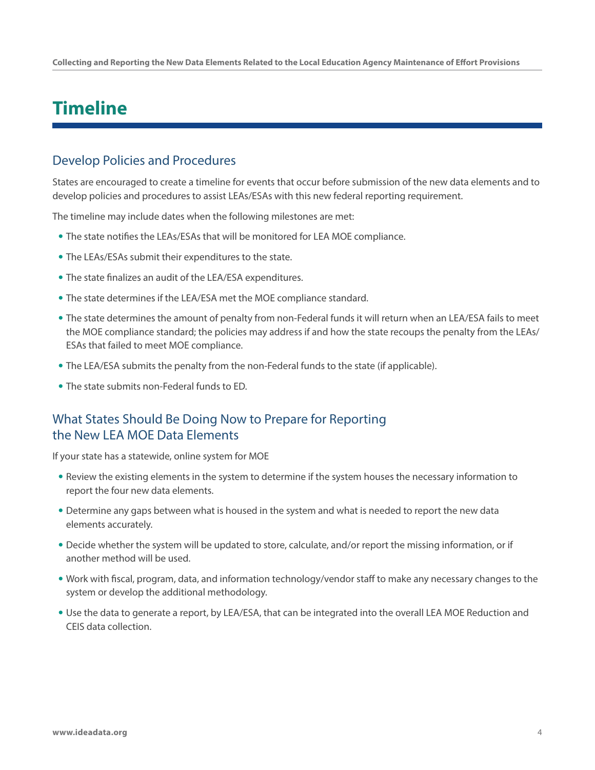### **Timeline**

#### Develop Policies and Procedures

States are encouraged to create a timeline for events that occur before submission of the new data elements and to develop policies and procedures to assist LEAs/ESAs with this new federal reporting requirement.

The timeline may include dates when the following milestones are met:

- The state notifies the LEAs/ESAs that will be monitored for LEA MOE compliance.
- The LEAs/ESAs submit their expenditures to the state.
- The state finalizes an audit of the LEA/ESA expenditures.
- The state determines if the LEA/ESA met the MOE compliance standard.
- The state determines the amount of penalty from non-Federal funds it will return when an LEA/ESA fails to meet the MOE compliance standard; the policies may address if and how the state recoups the penalty from the LEAs/ ESAs that failed to meet MOE compliance.
- The LEA/ESA submits the penalty from the non-Federal funds to the state (if applicable).
- The state submits non-Federal funds to ED.

### What States Should Be Doing Now to Prepare for Reporting the New LEA MOE Data Elements

If your state has a statewide, online system for MOE

- Review the existing elements in the system to determine if the system houses the necessary information to report the four new data elements.
- Determine any gaps between what is housed in the system and what is needed to report the new data elements accurately.
- Decide whether the system will be updated to store, calculate, and/or report the missing information, or if another method will be used.
- Work with fiscal, program, data, and information technology/vendor staff to make any necessary changes to the system or develop the additional methodology.
- Use the data to generate a report, by LEA/ESA, that can be integrated into the overall LEA MOE Reduction and CEIS data collection.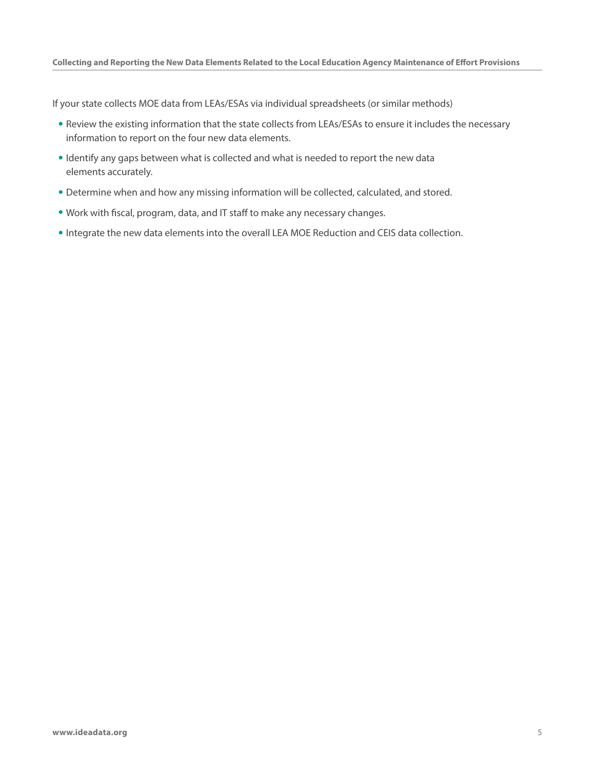If your state collects MOE data from LEAs/ESAs via individual spreadsheets (or similar methods)

- Review the existing information that the state collects from LEAs/ESAs to ensure it includes the necessary information to report on the four new data elements.
- Identify any gaps between what is collected and what is needed to report the new data elements accurately.
- Determine when and how any missing information will be collected, calculated, and stored.
- Work with fiscal, program, data, and IT staff to make any necessary changes.
- Integrate the new data elements into the overall LEA MOE Reduction and CEIS data collection.